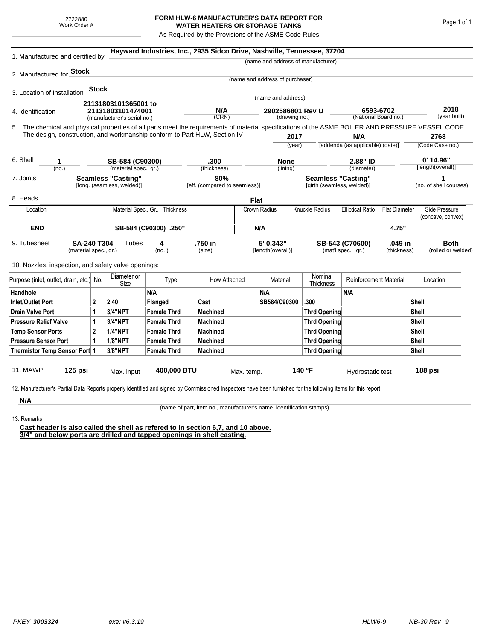## **FORM HLW-6 MANUFACTURER'S DATA REPORT FOR WATER HEATERS OR STORAGE TANKS**

As Required by the Provisions of the ASME Code Rules

| 1. Manufactured and certified by                                                                                                                              |                                          |              |                             |                                | Hayward Industries, Inc., 2935 Sidco Drive, Nashville, Tennessee, 37204   |            |                                   |                     |                                         |                                                 |                    |                         |                        |
|---------------------------------------------------------------------------------------------------------------------------------------------------------------|------------------------------------------|--------------|-----------------------------|--------------------------------|---------------------------------------------------------------------------|------------|-----------------------------------|---------------------|-----------------------------------------|-------------------------------------------------|--------------------|-------------------------|------------------------|
|                                                                                                                                                               |                                          |              |                             |                                |                                                                           |            |                                   |                     | (name and address of manufacturer)      |                                                 |                    |                         |                        |
| 2. Manufactured for <b>Stock</b>                                                                                                                              |                                          |              |                             |                                |                                                                           |            |                                   |                     |                                         |                                                 |                    |                         |                        |
|                                                                                                                                                               |                                          |              |                             |                                |                                                                           |            | (name and address of purchaser)   |                     |                                         |                                                 |                    |                         |                        |
| 3. Location of Installation                                                                                                                                   |                                          | <b>Stock</b> |                             |                                |                                                                           |            | (name and address)                |                     |                                         |                                                 |                    |                         |                        |
|                                                                                                                                                               |                                          |              | 21131803101365001 to        |                                |                                                                           |            |                                   |                     |                                         |                                                 |                    |                         |                        |
| 4. Identification                                                                                                                                             |                                          |              | 21131803101474001           |                                | N/A                                                                       |            | 2902586801 Rev U<br>(drawing no.) |                     |                                         | 6593-6702<br>(National Board no.)               |                    |                         | 2018<br>(year built)   |
|                                                                                                                                                               |                                          |              | (manufacturer's serial no.) |                                | (CRN)                                                                     |            |                                   |                     |                                         |                                                 |                    |                         |                        |
| 5. The chemical and physical properties of all parts meet the requirements of material specifications of the ASME BOILER AND PRESSURE VESSEL CODE.            |                                          |              |                             |                                | The design, construction, and workmanship conform to Part HLW, Section IV |            |                                   |                     |                                         |                                                 |                    |                         |                        |
|                                                                                                                                                               |                                          |              |                             |                                |                                                                           |            | 2017<br>(year)                    |                     | N/A<br>[addenda (as applicable) (date)] |                                                 |                    | 2768<br>(Code Case no.) |                        |
|                                                                                                                                                               |                                          |              |                             |                                |                                                                           |            |                                   |                     |                                         |                                                 |                    |                         |                        |
| 6. Shell<br>1                                                                                                                                                 |                                          |              | SB-584 (C90300)             |                                | .300                                                                      |            | <b>None</b>                       |                     |                                         | 2.88" ID                                        |                    | $0'$ 14.96"             |                        |
| (no.)                                                                                                                                                         |                                          |              | (material spec., gr.)       |                                | (thickness)                                                               |            | (lining)                          |                     |                                         | (diameter)                                      |                    |                         | [length(overall)]      |
| <b>Seamless "Casting"</b><br>7. Joints                                                                                                                        |                                          |              |                             | 80%                            |                                                                           |            |                                   |                     | <b>Seamless "Casting"</b>               |                                                 |                    | 1                       |                        |
|                                                                                                                                                               |                                          |              | [long. (seamless, welded)]  |                                | [eff. (compared to seamless)]                                             |            |                                   |                     | [girth (seamless, welded)]              |                                                 |                    |                         | (no. of shell courses) |
| 8. Heads                                                                                                                                                      |                                          |              |                             |                                |                                                                           |            | Flat                              |                     |                                         |                                                 |                    |                         |                        |
| Location                                                                                                                                                      |                                          |              |                             | Material Spec., Gr., Thickness |                                                                           |            | Crown Radius                      |                     | <b>Knuckle Radius</b>                   | <b>Elliptical Ratio</b><br><b>Flat Diameter</b> |                    |                         | Side Pressure          |
|                                                                                                                                                               |                                          |              |                             |                                |                                                                           |            |                                   |                     |                                         |                                                 |                    |                         | (concave, convex)      |
| <b>END</b>                                                                                                                                                    | SB-584 (C90300) .250"                    |              |                             |                                |                                                                           |            | N/A                               |                     |                                         |                                                 | 4.75"              |                         |                        |
| 9. Tubesheet                                                                                                                                                  | SA-240 T304                              |              | Tubes                       | 4                              | .750 in                                                                   |            | 5' 0.343"                         |                     |                                         | .049 in<br>SB-543 (C70600)                      |                    |                         | <b>Both</b>            |
| (material spec., gr.)                                                                                                                                         |                                          |              | (no. )                      |                                | (size)                                                                    |            | [length(overall)]                 |                     | (mat'l spec., gr.)<br>(thickness)       |                                                 | (rolled or welded) |                         |                        |
|                                                                                                                                                               |                                          |              |                             |                                |                                                                           |            |                                   |                     |                                         |                                                 |                    |                         |                        |
| 10. Nozzles, inspection, and safety valve openings:                                                                                                           |                                          |              |                             |                                |                                                                           |            |                                   |                     |                                         |                                                 |                    |                         |                        |
|                                                                                                                                                               | Purpose (inlet, outlet, drain, etc.) No. |              | Diameter or<br>Size         | Type                           | How Attached                                                              |            | Material                          |                     | Nominal<br><b>Thickness</b>             | <b>Reinforcement Material</b>                   |                    |                         | Location               |
| Handhole                                                                                                                                                      |                                          |              |                             | N/A                            |                                                                           |            | N/A                               |                     |                                         | N/A                                             |                    |                         |                        |
| $\overline{2}$<br><b>Inlet/Outlet Port</b>                                                                                                                    |                                          |              | 2.40                        | Flanged                        | Cast                                                                      |            | SB584/C90300                      |                     | .300                                    |                                                 |                    | Shell                   |                        |
| <b>Drain Valve Port</b><br>1                                                                                                                                  |                                          | 3/4"NPT      | <b>Female Thrd</b>          | <b>Machined</b>                |                                                                           |            |                                   | <b>Thrd Opening</b> |                                         |                                                 | Shell              |                         |                        |
| <b>Pressure Relief Valve</b><br>1                                                                                                                             |                                          |              | 3/4"NPT                     | <b>Female Thrd</b>             | <b>Machined</b>                                                           |            |                                   |                     | Thrd Opening                            |                                                 |                    | <b>Shell</b>            |                        |
| $\overline{2}$<br><b>Temp Sensor Ports</b>                                                                                                                    |                                          |              | <b>1/4"NPT</b>              | <b>Female Thrd</b>             | <b>Machined</b>                                                           |            |                                   | Thrd Opening        |                                         |                                                 |                    | <b>Shell</b>            |                        |
| <b>Pressure Sensor Port</b><br>1                                                                                                                              |                                          |              | <b>1/8"NPT</b>              | <b>Female Thrd</b>             | <b>Machined</b>                                                           |            |                                   |                     | Thrd Opening                            |                                                 | <b>Shell</b>       |                         |                        |
| Thermistor Temp Sensor Port 1                                                                                                                                 |                                          |              | 3/8"NPT                     | <b>Female Thrd</b>             | <b>Machined</b>                                                           |            |                                   | <b>Thrd Opening</b> |                                         |                                                 | Shell              |                         |                        |
|                                                                                                                                                               |                                          |              |                             |                                |                                                                           |            |                                   |                     |                                         |                                                 |                    |                         |                        |
| 11. MAWP                                                                                                                                                      | 125 psi                                  |              | Max. input                  | 400,000 BTU                    |                                                                           | Max. temp. |                                   |                     | 140 °F                                  | Hydrostatic test                                |                    |                         | 188 psi                |
|                                                                                                                                                               |                                          |              |                             |                                |                                                                           |            |                                   |                     |                                         |                                                 |                    |                         |                        |
| 12. Manufacturer's Partial Data Reports properly identified and signed by Commissioned Inspectors have been furnished for the following items for this report |                                          |              |                             |                                |                                                                           |            |                                   |                     |                                         |                                                 |                    |                         |                        |
| N/A                                                                                                                                                           |                                          |              |                             |                                |                                                                           |            |                                   |                     |                                         |                                                 |                    |                         |                        |

13. Remarks

(name of part, item no., manufacturer's name, identification stamps)

**Cast header is also called the shell as refered to in section 6,7, and 10 above. 3/4" and below ports are drilled and tapped openings in shell casting.**